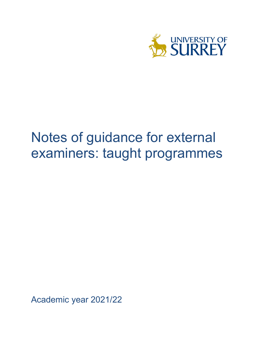

# Notes of guidance for external examiners: taught programmes

Academic year 2021/22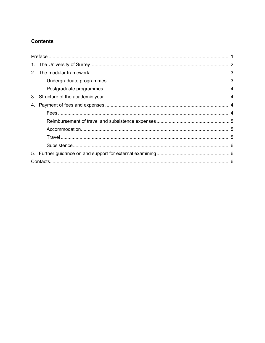# **Contents**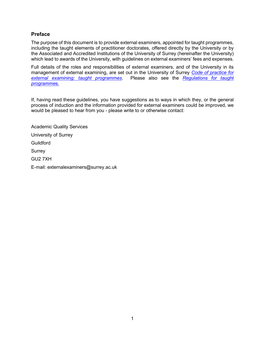# <span id="page-2-0"></span>**Preface**

The purpose of this document is to provide external examiners, appointed for taught programmes, including the taught elements of practitioner doctorates, offered directly by the University or by the Associated and Accredited Institutions of the University of Surrey (hereinafter the University) which lead to awards of the University, with guidelines on external examiners' fees and expenses.

Full details of the roles and responsibilities of external examiners, and of the University in its management of external examining, are set out in the University of Surrey *[Code of practice for](https://www.surrey.ac.uk/quality-framework/codes-practice)  [external examining: taught programmes](https://www.surrey.ac.uk/quality-framework/codes-practice)*. Please also see the *[Regulations for taught](https://www.surrey.ac.uk/quality-framework/academic-and-student-regulations)  [programme](https://www.surrey.ac.uk/quality-framework/academic-and-student-regulations)*s*.*

If, having read these guidelines, you have suggestions as to ways in which they, or the general process of induction and the information provided for external examiners could be improved, we would be pleased to hear from you - please write to or otherwise contact:

Academic Quality Services University of Surrey Guildford **Surrey** GU2 7XH E-mail: externalexaminers@surrey.ac.uk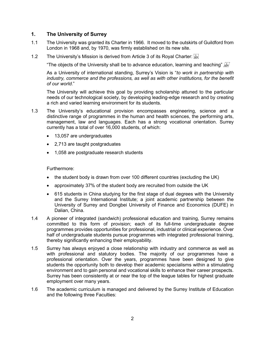# <span id="page-3-0"></span>**1. The University of Surrey**

- 1.1 The University was granted its Charter in 1966. It moved to the outskirts of Guildford from London in 1968 and, by 1970, was firmly established on its new site.
- 1.2 The University's Mission is derived from Article 3 of its Royal Charter:  $\frac{1}{348}$

"The objects of the University shall be to advance education, learning and teaching"  $\frac{f}{s}F'$ 

As a University of international standing, Surrey's Vision is "*to work in partnership with*  industry, commerce and the professions, as well as with other institutions, for the benefit *of our world*."

The University will achieve this goal by providing scholarship attuned to the particular needs of our technological society, by developing leading-edge research and by creating a rich and varied learning environment for its students.

- 1.3 The University's educational provision encompasses engineering, science and a distinctive range of programmes in the human and health sciences, the performing arts, management, law and languages. Each has a strong vocational orientation. Surrey currently has a total of over 16,000 students, of which:
	- 13,057 are undergraduates
	- 2,713 are taught postgraduates
	- 1,058 are postgraduate research students

#### Furthermore:

- the student body is drawn from over 100 different countries (excluding the UK)
- approximately 37% of the student body are recruited from outside the UK
- 615 students in China studying for the first stage of dual degrees with the University and the Surrey International Institute; a joint academic partnership between the University of Surrey and Dongbei University of Finance and Economics (DUFE) in Dalian, China.
- 1.4 A pioneer of integrated (sandwich) professional education and training, Surrey remains committed to this form of provision; each of its full-time undergraduate degree programmes provides opportunities for professional, industrial or clinical experience. Over half of undergraduate students pursue programmes with integrated professional training, thereby significantly enhancing their employability.
- 1.5 Surrey has always enjoyed a close relationship with industry and commerce as well as with professional and statutory bodies. The majority of our programmes have a professional orientation. Over the years, programmes have been designed to give students the opportunity both to develop their academic specialisms within a stimulating environment and to gain personal and vocational skills to enhance their career prospects. Surrey has been consistently at or near the top of the league tables for highest graduate employment over many years.
- 1.6 The academic curriculum is managed and delivered by the Surrey Institute of Education and the following three Faculties: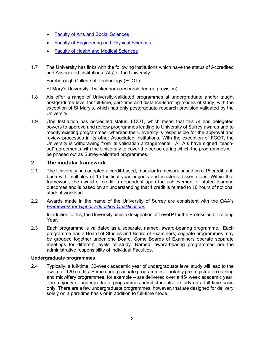- [Faculty of Arts and Social](https://www.surrey.ac.uk/faculty-arts-social-sciences) Sciences
- [Faculty of Engineering and Physical Sciences](https://www.surrey.ac.uk/faculty-engineering-physical-sciences)
- [Faculty of Health and Medical Sciences](https://www.surrey.ac.uk/faculty-health-medical-sciences)
- 1.7 The University has links with the following institutions which have the status of Accredited and Associated Institutions (AIs) of the University:

Farnborough College of Technology (FCOT)

St Mary's University, Twickenham (research degree provision)

- 1.8 AIs offer a range of University-validated programmes at undergraduate and/or taught postgraduate level for full-time, part-time and distance-learning modes of study, with the exception of St Mary's, which has only postgraduate research provision validated by the University.
- 1.9 One Institution has accredited status: FCOT, which mean that this AI has delegated powers to approve and review programmes leading to University of Surrey awards and to modify existing programmes, whereas the University is responsible for the approval and review processes in its other Associated Institutions. With the exception of FCOT, the University is withdrawing from its validation arrangements. All AIs have signed "teachout" agreements with the University to cover the period during which the programmes will be phased out as Surrey-validated programmes.

# <span id="page-4-0"></span>**2. The modular framework**

- 2.1 The University has adopted a credit-based, modular framework based on a 15 credit tariff base with multiples of 15 for final year projects and master's dissertations. Within that framework, the award of credit is dependent upon the achievement of stated learning outcomes and is based on an understanding that 1 credit is related to 10 hours of notional student workload.
- 2.2 Awards made in the name of the University of Surrey are consistent with the QAA's *[Framework for Higher Education Qualifications](https://www.qaa.ac.uk/docs/qaa/quality-code/qualifications-frameworks.pdf)*

In addition to this, the University uses a designation of Level P for the Professional Training Year.

2.3 Each programme is validated as a separate, named, award-bearing programme. Each programme has a Board of Studies and Board of Examiners; cognate programmes may be grouped together under one Board. Some Boards of Examiners operate separate meetings for different levels of study. Named, award-bearing programmes are the administrative responsibility of individual Faculties.

## <span id="page-4-1"></span>**Undergraduate programmes**

2.4 Typically, a full-time, 30-week academic year of undergraduate level study will lead to the award of 120 credits. Some undergraduate programmes – notably pre-registration nursing and midwifery programmes, for example – are delivered over a 45- week academic year. The majority of undergraduate programmes admit students to study on a full-time basis only. There are a few undergraduate programmes, however, that are designed for delivery solely on a part-time basis or in addition to full-time mode.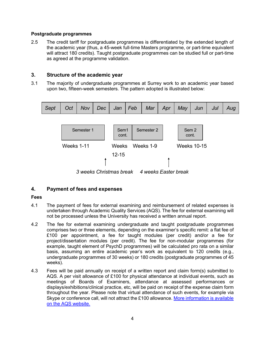## <span id="page-5-0"></span>**Postgraduate programmes**

2.5 The credit tariff for postgraduate programmes is differentiated by the extended length of the academic year (thus, a 45-week full-time Masters programme, or part-time equivalent will attract 180 credits). Taught postgraduate programmes can be studied full or part-time as agreed at the programme validation.

# <span id="page-5-1"></span>**3. Structure of the academic year**

3.1 The majority of undergraduate programmes at Surrey work to an academic year based upon two, fifteen-week semesters. The pattern adopted is illustrated below:



# <span id="page-5-2"></span>**4. Payment of fees and expenses**

# <span id="page-5-3"></span>**Fees**

- 4.1 The payment of fees for external examining and reimbursement of related expenses is undertaken through Academic Quality Services (AQS). The fee for external examining will not be processed unless the University has received a written annual report.
- 4.2 The fee for external examining undergraduate and taught postgraduate programmes comprises two or three elements, depending on the examiner's specific remit: a flat fee of £100 per appointment, a fee for taught modules (per credit) and/or a fee for project/dissertation modules (per credit). The fee for non-modular programmes (for example, taught element of PsychD programmes) will be calculated pro rata on a similar basis, assuming an entire academic year's work as equivalent to 120 credits (e.g., undergraduate programmes of 30 weeks) or 180 credits (postgraduate programmes of 45 weeks).
- 4.3 Fees will be paid annually on receipt of a written report and claim form(s) submitted to AQS. A per visit allowance of £100 for physical attendance at individual events, such as meetings of Boards of Examiners, attendance at assessed performances or displays/exhibitions/clinical practice, etc, will be paid on receipt of the expense claim form throughout the year. Please note that virtual attendance of such events, for example via Skype or conference call, will not attract the £100 allowance. [More information is available](https://www.surrey.ac.uk/academic-quality-services/external-examiners)  [on the AQS](https://www.surrey.ac.uk/academic-quality-services/external-examiners) website.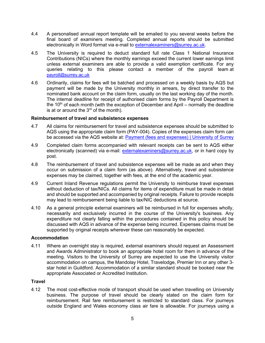- 4.4 A personalised annual report template will be emailed to you several weeks before the final board of examiners meeting. Completed annual reports should be submitted electronically in Word format via e-mail to [externalexaminers@surrey.ac.uk.](mailto:externalexaminers@surrey.ac.uk)
- 4.5 The University is required to deduct standard full rate Class 1 National Insurance Contributions (NICs) where the monthly earnings exceed the current lower earnings limit unless external examiners are able to provide a valid exemption certificate. For any queries relating to this please contact a member of the payroll team at [payroll@surrey.ac.uk](mailto:payroll@surrey.ac.uk)
- 4.6 Ordinarily, claims for fees will be batched and processed on a weekly basis by AQS but payment will be made by the University monthly in arrears, by direct transfer to the nominated bank account on the claim form, usually on the last working day of the month. The internal deadline for receipt of authorised claim forms by the Payroll Department is the 10<sup>th</sup> of each month (with the exception of December and April – normally the deadline is at or around the  $3<sup>rd</sup>$  of the month).

## <span id="page-6-0"></span>**Reimbursement of travel and subsistence expenses**

- 4.7 All claims for reimbursement for travel and subsistence expenses should be submitted to AQS using the appropriate claim form (PAY-004). Copies of the expenses claim form can be accessed via the AQS website at: [Payment \(fees and expenses\) | University of Surrey](https://www.surrey.ac.uk/academic-quality-services/external-examiners/payment-fees-and-expenses)
- 4.9 Completed claim forms accompanied with relevant receipts can be sent to AQS either electronically (scanned) via e-mail: [externalexaminers@surrey.ac.uk,](mailto:externalexaminers@surrey.ac.uk) or in hard copy by post.
- 4.8 The reimbursement of travel and subsistence expenses will be made as and when they occur on submission of a claim form (as above). Alternatively, travel and subsistence expenses may be claimed, together with fees, at the end of the academic year.
- 4.9 Current Inland Revenue regulations permit the University to reimburse travel expenses without deduction of tax/NICs. All claims for items of expenditure must be made in detail and should be supported and accompanied by original receipts. Failure to provide receipts may lead to reimbursement being liable to tax/NIC deductions at source.
- 4.10 As a general principle external examiners will be reimbursed in full for expenses wholly, necessarily and exclusively incurred in the course of the University's business. Any expenditure not clearly falling within the procedures contained in this policy should be discussed with AQS in advance of the expense being incurred. Expenses claims must be supported by original receipts wherever these can reasonably be expected.

## <span id="page-6-1"></span>**Accommodation**

4.11 Where an overnight stay is required, external examiners should request an Assessment and Awards Administrator to book an appropriate hotel room for them in advance of the meeting. Visitors to the University of Surrey are expected to use the University visitor accommodation on campus, the Mandolay Hotel, Travelodge, Premier Inn or any other 3 star hotel in Guildford. Accommodation of a similar standard should be booked near the appropriate Associated or Accredited Institution.

#### <span id="page-6-2"></span>**Travel**

4.12 The most cost-effective mode of transport should be used when travelling on University business. The purpose of travel should be clearly stated on the claim form for reimbursement. Rail fare reimbursement is restricted to standard class. For journeys outside England and Wales economy class air fare is allowable. For journeys using a